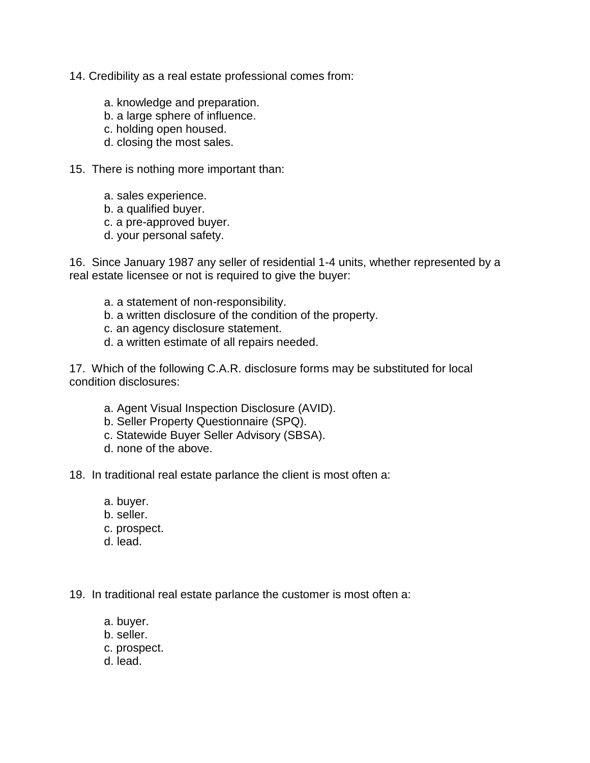- 14. Credibility as a real estate professional comes from:
	- a. knowledge and preparation.
	- b. a large sphere of influence.
	- c. holding open housed.
	- d. closing the most sales.
- 15. There is nothing more important than:
	- a. sales experience.
	- b. a qualified buyer.
	- c. a pre-approved buyer.
	- d. your personal safety.

16. Since January 1987 any seller of residential 1-4 units, whether represented by a real estate licensee or not is required to give the buyer:

- a. a statement of non-responsibility.
- b. a written disclosure of the condition of the property.
- c. an agency disclosure statement.
- d. a written estimate of all repairs needed.

17. Which of the following C.A.R. disclosure forms may be substituted for local condition disclosures:

- a. Agent Visual Inspection Disclosure (AVID).
- b. Seller Property Questionnaire (SPQ).
- c. Statewide Buyer Seller Advisory (SBSA).
- d. none of the above.
- 18. In traditional real estate parlance the client is most often a:
	- a. buyer.
	- b. seller.
	- c. prospect.
	- d. lead.

19. In traditional real estate parlance the customer is most often a:

- a. buyer.
- b. seller.
- c. prospect.
- d. lead.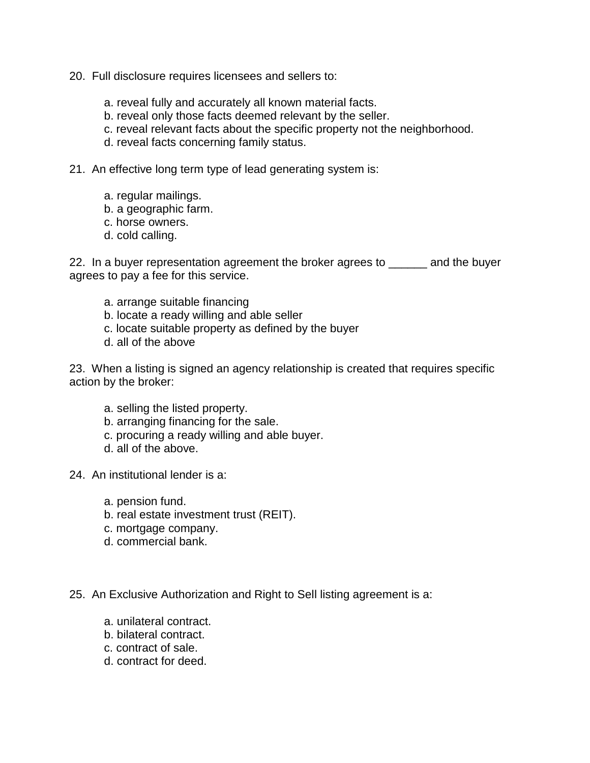- 20. Full disclosure requires licensees and sellers to:
	- a. reveal fully and accurately all known material facts.
	- b. reveal only those facts deemed relevant by the seller.
	- c. reveal relevant facts about the specific property not the neighborhood.
	- d. reveal facts concerning family status.
- 21. An effective long term type of lead generating system is:
	- a. regular mailings.
	- b. a geographic farm.
	- c. horse owners.
	- d. cold calling.

22. In a buyer representation agreement the broker agrees to same and the buyer agrees to pay a fee for this service.

- a. arrange suitable financing
- b. locate a ready willing and able seller
- c. locate suitable property as defined by the buyer
- d. all of the above

23. When a listing is signed an agency relationship is created that requires specific action by the broker:

- a. selling the listed property.
- b. arranging financing for the sale.
- c. procuring a ready willing and able buyer.
- d. all of the above.
- 24. An institutional lender is a:
	- a. pension fund.
	- b. real estate investment trust (REIT).
	- c. mortgage company.
	- d. commercial bank.

25. An Exclusive Authorization and Right to Sell listing agreement is a:

- a. unilateral contract.
- b. bilateral contract.
- c. contract of sale.
- d. contract for deed.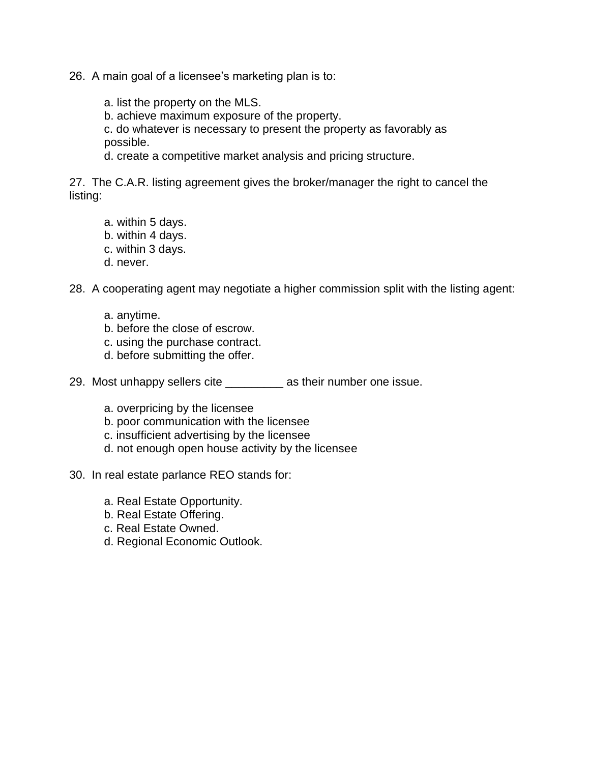26. A main goal of a licensee's marketing plan is to:

a. list the property on the MLS.

b. achieve maximum exposure of the property.

c. do whatever is necessary to present the property as favorably as possible.

d. create a competitive market analysis and pricing structure.

27. The C.A.R. listing agreement gives the broker/manager the right to cancel the listing:

- a. within 5 days.
- b. within 4 days.
- c. within 3 days.
- d. never.

28. A cooperating agent may negotiate a higher commission split with the listing agent:

- a. anytime.
- b. before the close of escrow.
- c. using the purchase contract.
- d. before submitting the offer.

29. Most unhappy sellers cite \_\_\_\_\_\_\_\_\_ as their number one issue.

- a. overpricing by the licensee
- b. poor communication with the licensee
- c. insufficient advertising by the licensee
- d. not enough open house activity by the licensee
- 30. In real estate parlance REO stands for:
	- a. Real Estate Opportunity.
	- b. Real Estate Offering.
	- c. Real Estate Owned.
	- d. Regional Economic Outlook.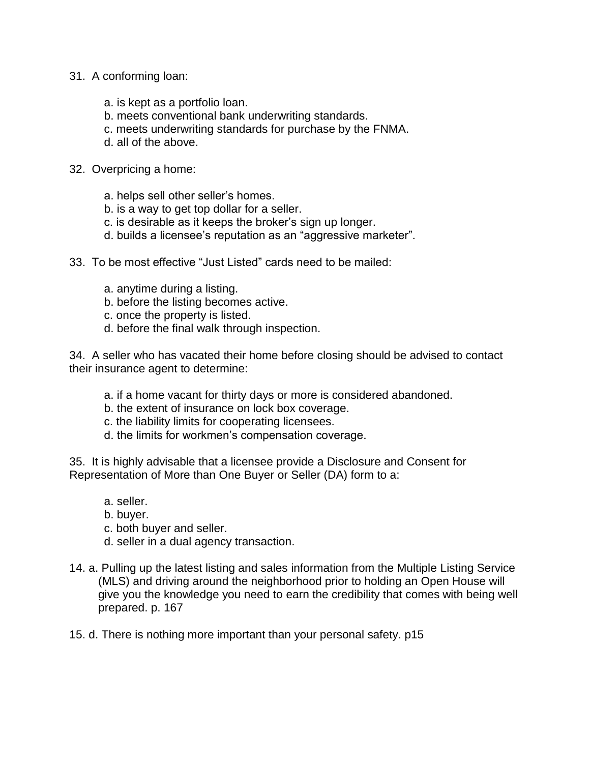- 31. A conforming loan:
	- a. is kept as a portfolio loan.
	- b. meets conventional bank underwriting standards.
	- c. meets underwriting standards for purchase by the FNMA.
	- d. all of the above.
- 32. Overpricing a home:
	- a. helps sell other seller's homes.
	- b. is a way to get top dollar for a seller.
	- c. is desirable as it keeps the broker's sign up longer.
	- d. builds a licensee's reputation as an "aggressive marketer".
- 33. To be most effective "Just Listed" cards need to be mailed:
	- a. anytime during a listing.
	- b. before the listing becomes active.
	- c. once the property is listed.
	- d. before the final walk through inspection.

34. A seller who has vacated their home before closing should be advised to contact their insurance agent to determine:

- a. if a home vacant for thirty days or more is considered abandoned.
- b. the extent of insurance on lock box coverage.
- c. the liability limits for cooperating licensees.
- d. the limits for workmen's compensation coverage.

35. It is highly advisable that a licensee provide a Disclosure and Consent for Representation of More than One Buyer or Seller (DA) form to a:

- a. seller.
- b. buyer.
- c. both buyer and seller.
- d. seller in a dual agency transaction.
- 14. a. Pulling up the latest listing and sales information from the Multiple Listing Service (MLS) and driving around the neighborhood prior to holding an Open House will give you the knowledge you need to earn the credibility that comes with being well prepared. p. 167
- 15. d. There is nothing more important than your personal safety. p15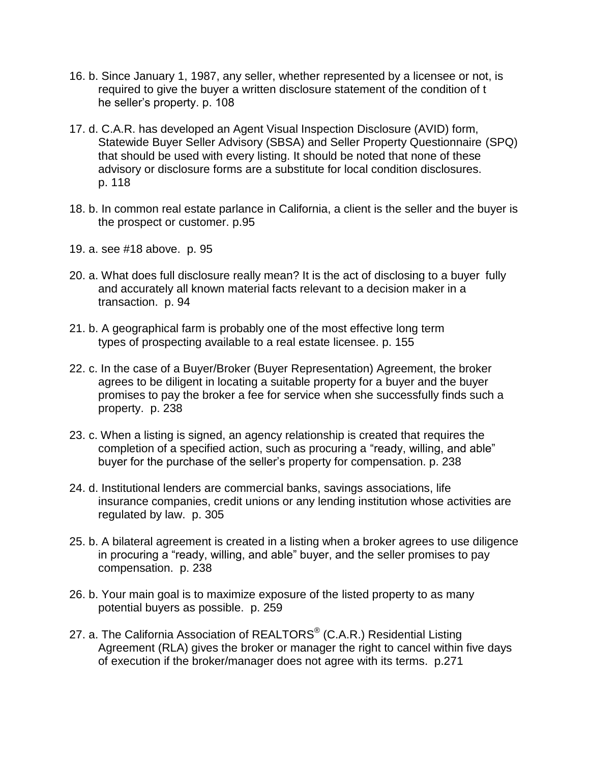- 16. b. Since January 1, 1987, any seller, whether represented by a licensee or not, is required to give the buyer a written disclosure statement of the condition of t he seller's property. p. 108
- 17. d. C.A.R. has developed an Agent Visual Inspection Disclosure (AVID) form, Statewide Buyer Seller Advisory (SBSA) and Seller Property Questionnaire (SPQ) that should be used with every listing. It should be noted that none of these advisory or disclosure forms are a substitute for local condition disclosures. p. 118
- 18. b. In common real estate parlance in California, a client is the seller and the buyer is the prospect or customer. p.95
- 19. a. see #18 above. p. 95
- 20. a. What does full disclosure really mean? It is the act of disclosing to a buyer fully and accurately all known material facts relevant to a decision maker in a transaction. p. 94
- 21. b. A geographical farm is probably one of the most effective long term types of prospecting available to a real estate licensee. p. 155
- 22. c. In the case of a Buyer/Broker (Buyer Representation) Agreement, the broker agrees to be diligent in locating a suitable property for a buyer and the buyer promises to pay the broker a fee for service when she successfully finds such a property. p. 238
- 23. c. When a listing is signed, an agency relationship is created that requires the completion of a specified action, such as procuring a "ready, willing, and able" buyer for the purchase of the seller's property for compensation. p. 238
- 24. d. Institutional lenders are commercial banks, savings associations, life insurance companies, credit unions or any lending institution whose activities are regulated by law. p. 305
- 25. b. A bilateral agreement is created in a listing when a broker agrees to use diligence in procuring a "ready, willing, and able" buyer, and the seller promises to pay compensation. p. 238
- 26. b. Your main goal is to maximize exposure of the listed property to as many potential buyers as possible. p. 259
- 27. a. The California Association of REALTORS $^{\circledR}$  (C.A.R.) Residential Listing Agreement (RLA) gives the broker or manager the right to cancel within five days of execution if the broker/manager does not agree with its terms. p.271